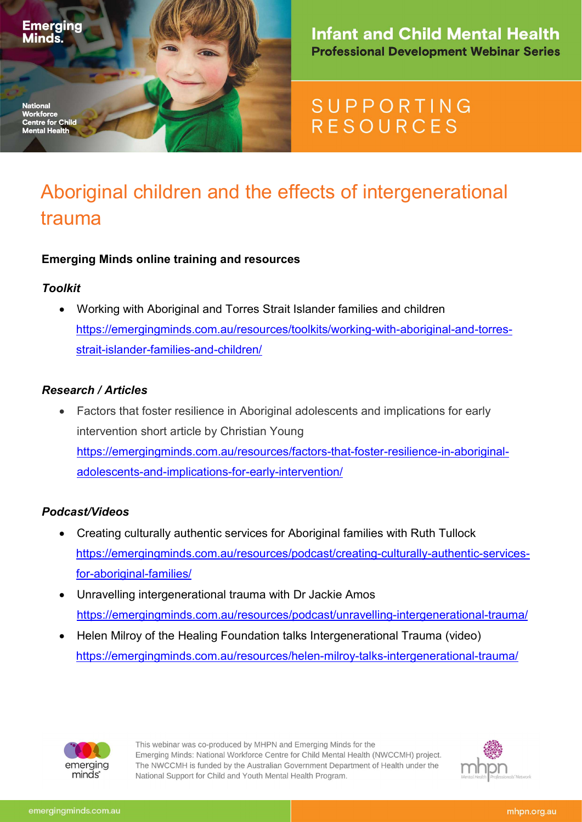

### **Infant and Child Mental Health Professional Development Webinar Series**

## SUPPORTING **RESOURCES**

# Aboriginal children and the effects of intergenerational trauma

#### Emerging Minds online training and resources

#### Toolkit

 Working with Aboriginal and Torres Strait Islander families and children https://emergingminds.com.au/resources/toolkits/working-with-aboriginal-and-torresstrait-islander-families-and-children/

#### Research / Articles

 Factors that foster resilience in Aboriginal adolescents and implications for early intervention short article by Christian Young https://emergingminds.com.au/resources/factors-that-foster-resilience-in-aboriginaladolescents-and-implications-for-early-intervention/

#### Podcast/Videos

- Creating culturally authentic services for Aboriginal families with Ruth Tullock https://emergingminds.com.au/resources/podcast/creating-culturally-authentic-servicesfor-aboriginal-families/
- Unravelling intergenerational trauma with Dr Jackie Amos https://emergingminds.com.au/resources/podcast/unravelling-intergenerational-trauma/
- Helen Milroy of the Healing Foundation talks Intergenerational Trauma (video) https://emergingminds.com.au/resources/helen-milroy-talks-intergenerational-trauma/



This webinar was co-produced by MHPN and Emerging Minds for the Emerging Minds: National Workforce Centre for Child Mental Health (NWCCMH) project. The NWCCMH is funded by the Australian Government Department of Health under the National Support for Child and Youth Mental Health Program.